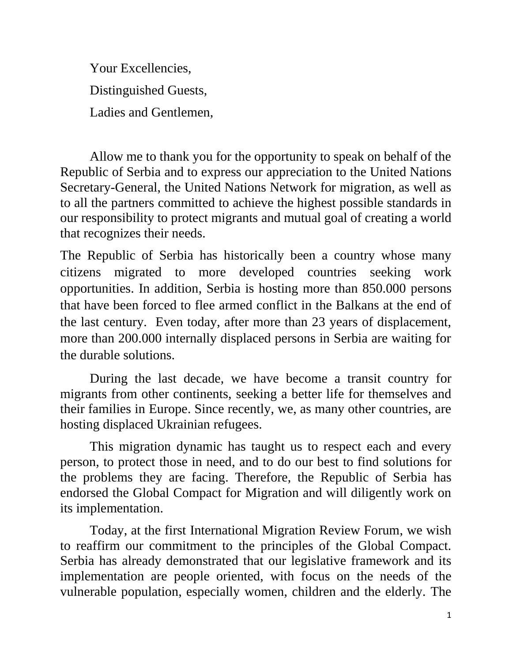Your Excellencies, Distinguished Guests, Ladies and Gentlemen,

Allow me to thank you for the opportunity to speak on behalf of the Republic of Serbia and to express our appreciation to the United Nations Secretary-General, the United Nations Network for migration, as well as to all the partners committed to achieve the highest possible standards in our responsibility to protect migrants and mutual goal of creating a world that recognizes their needs.

The Republic of Serbia has historically been a country whose many citizens migrated to more developed countries seeking work opportunities. In addition, Serbia is hosting more than 850.000 persons that have been forced to flee armed conflict in the Balkans at the end of the last century. Even today, after more than 23 years of displacement, more than 200.000 internally displaced persons in Serbia are waiting for the durable solutions.

During the last decade, we have become a transit country for migrants from other continents, seeking a better life for themselves and their families in Europe. Since recently, we, as many other countries, are hosting displaced Ukrainian refugees.

This migration dynamic has taught us to respect each and every person, to protect those in need, and to do our best to find solutions for the problems they are facing. Therefore, the Republic of Serbia has endorsed the Global Compact for Migration and will diligently work on its implementation.

Today, at the first International Migration Review Forum, we wish to reaffirm our commitment to the principles of the Global Compact. Serbia has already demonstrated that our legislative framework and its implementation are people oriented, with focus on the needs of the vulnerable population, especially women, children and the elderly. The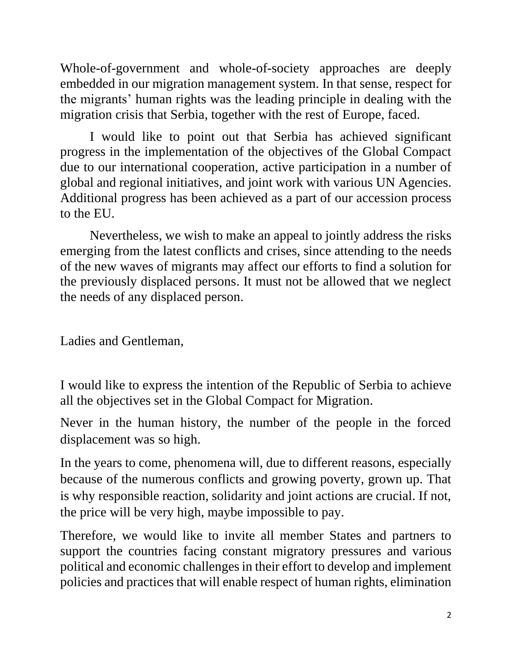Whole-of-government and whole-of-society approaches are deeply embedded in our migration management system. In that sense, respect for the migrants' human rights was the leading principle in dealing with the migration crisis that Serbia, together with the rest of Europe, faced.

I would like to point out that Serbia has achieved significant progress in the implementation of the objectives of the Global Compact due to our international cooperation, active participation in a number of global and regional initiatives, and joint work with various UN Agencies. Additional progress has been achieved as a part of our accession process to the EU.

Nevertheless, we wish to make an appeal to jointly address the risks emerging from the latest conflicts and crises, since attending to the needs of the new waves of migrants may affect our efforts to find a solution for the previously displaced persons. It must not be allowed that we neglect the needs of any displaced person.

Ladies and Gentleman,

I would like to express the intention of the Republic of Serbia to achieve all the objectives set in the Global Compact for Migration.

Never in the human history, the number of the people in the forced displacement was so high.

In the years to come, phenomena will, due to different reasons, especially because of the numerous conflicts and growing poverty, grown up. That is why responsible reaction, solidarity and joint actions are crucial. If not, the price will be very high, maybe impossible to pay.

Therefore, we would like to invite all member States and partners to support the countries facing constant migratory pressures and various political and economic challenges in their effort to develop and implement policies and practices that will enable respect of human rights, elimination